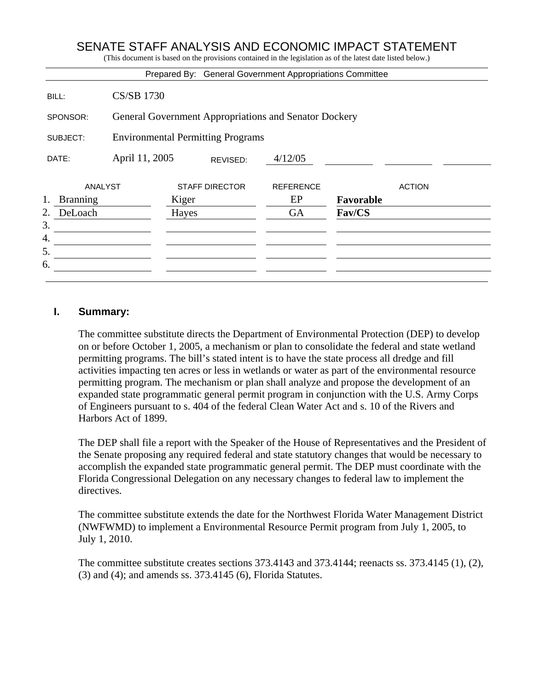# SENATE STAFF ANALYSIS AND ECONOMIC IMPACT STATEMENT

(This document is based on the provisions contained in the legislation as of the latest date listed below.)

|                       |                                                       |                       |          | Prepared By: General Government Appropriations Committee |           |               |  |
|-----------------------|-------------------------------------------------------|-----------------------|----------|----------------------------------------------------------|-----------|---------------|--|
| BILL:                 | <b>CS/SB 1730</b>                                     |                       |          |                                                          |           |               |  |
| SPONSOR:              | General Government Appropriations and Senator Dockery |                       |          |                                                          |           |               |  |
| SUBJECT:              | <b>Environmental Permitting Programs</b>              |                       |          |                                                          |           |               |  |
| DATE:                 | April 11, 2005                                        |                       | REVISED: | 4/12/05                                                  |           |               |  |
| ANALYST               |                                                       | <b>STAFF DIRECTOR</b> |          | <b>REFERENCE</b>                                         |           | <b>ACTION</b> |  |
| 1.<br><b>Branning</b> |                                                       |                       |          | EP                                                       | Favorable |               |  |
| DeLoach<br>2.<br>3.   |                                                       | Hayes                 |          | <b>GA</b>                                                | Fav/CS    |               |  |
| 4.                    |                                                       |                       |          |                                                          |           |               |  |
| 5.                    |                                                       |                       |          |                                                          |           |               |  |
| 6.                    |                                                       |                       |          |                                                          |           |               |  |
|                       |                                                       |                       |          |                                                          |           |               |  |

#### **I. Summary:**

The committee substitute directs the Department of Environmental Protection (DEP) to develop on or before October 1, 2005, a mechanism or plan to consolidate the federal and state wetland permitting programs. The bill's stated intent is to have the state process all dredge and fill activities impacting ten acres or less in wetlands or water as part of the environmental resource permitting program. The mechanism or plan shall analyze and propose the development of an expanded state programmatic general permit program in conjunction with the U.S. Army Corps of Engineers pursuant to s. 404 of the federal Clean Water Act and s. 10 of the Rivers and Harbors Act of 1899.

The DEP shall file a report with the Speaker of the House of Representatives and the President of the Senate proposing any required federal and state statutory changes that would be necessary to accomplish the expanded state programmatic general permit. The DEP must coordinate with the Florida Congressional Delegation on any necessary changes to federal law to implement the directives.

The committee substitute extends the date for the Northwest Florida Water Management District (NWFWMD) to implement a Environmental Resource Permit program from July 1, 2005, to July 1, 2010.

The committee substitute creates sections 373.4143 and 373.4144; reenacts ss. 373.4145 (1), (2), (3) and (4); and amends ss. 373.4145 (6), Florida Statutes.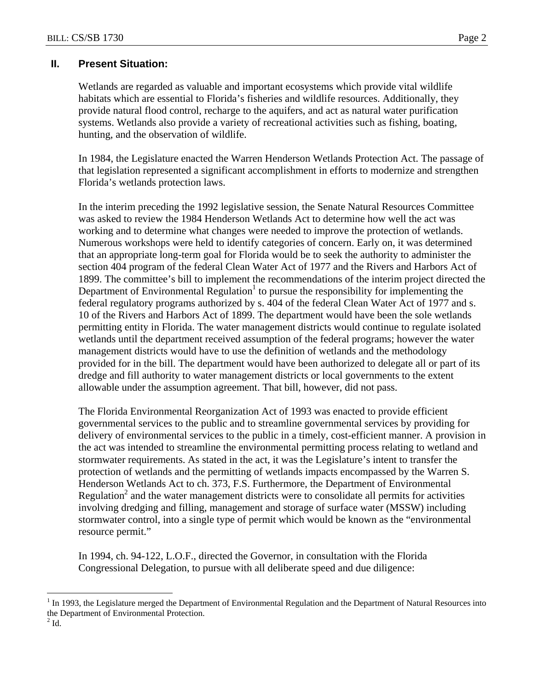## **II. Present Situation:**

Wetlands are regarded as valuable and important ecosystems which provide vital wildlife habitats which are essential to Florida's fisheries and wildlife resources. Additionally, they provide natural flood control, recharge to the aquifers, and act as natural water purification systems. Wetlands also provide a variety of recreational activities such as fishing, boating, hunting, and the observation of wildlife.

In 1984, the Legislature enacted the Warren Henderson Wetlands Protection Act. The passage of that legislation represented a significant accomplishment in efforts to modernize and strengthen Florida's wetlands protection laws.

In the interim preceding the 1992 legislative session, the Senate Natural Resources Committee was asked to review the 1984 Henderson Wetlands Act to determine how well the act was working and to determine what changes were needed to improve the protection of wetlands. Numerous workshops were held to identify categories of concern. Early on, it was determined that an appropriate long-term goal for Florida would be to seek the authority to administer the section 404 program of the federal Clean Water Act of 1977 and the Rivers and Harbors Act of 1899. The committee's bill to implement the recommendations of the interim project directed the Department of Environmental Regulation<sup>1</sup> to pursue the responsibility for implementing the federal regulatory programs authorized by s. 404 of the federal Clean Water Act of 1977 and s. 10 of the Rivers and Harbors Act of 1899. The department would have been the sole wetlands permitting entity in Florida. The water management districts would continue to regulate isolated wetlands until the department received assumption of the federal programs; however the water management districts would have to use the definition of wetlands and the methodology provided for in the bill. The department would have been authorized to delegate all or part of its dredge and fill authority to water management districts or local governments to the extent allowable under the assumption agreement. That bill, however, did not pass.

The Florida Environmental Reorganization Act of 1993 was enacted to provide efficient governmental services to the public and to streamline governmental services by providing for delivery of environmental services to the public in a timely, cost-efficient manner. A provision in the act was intended to streamline the environmental permitting process relating to wetland and stormwater requirements. As stated in the act, it was the Legislature's intent to transfer the protection of wetlands and the permitting of wetlands impacts encompassed by the Warren S. Henderson Wetlands Act to ch. 373, F.S. Furthermore, the Department of Environmental Regulation<sup>2</sup> and the water management districts were to consolidate all permits for activities involving dredging and filling, management and storage of surface water (MSSW) including stormwater control, into a single type of permit which would be known as the "environmental resource permit."

In 1994, ch. 94-122, L.O.F., directed the Governor, in consultation with the Florida Congressional Delegation, to pursue with all deliberate speed and due diligence:

<sup>1</sup>  $1$  In 1993, the Legislature merged the Department of Environmental Regulation and the Department of Natural Resources into the Department of Environmental Protection.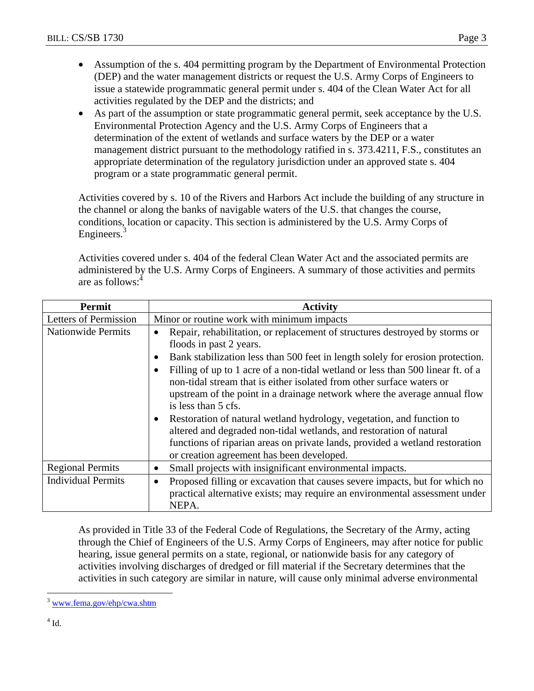- Assumption of the s. 404 permitting program by the Department of Environmental Protection (DEP) and the water management districts or request the U.S. Army Corps of Engineers to issue a statewide programmatic general permit under s. 404 of the Clean Water Act for all activities regulated by the DEP and the districts; and
- As part of the assumption or state programmatic general permit, seek acceptance by the U.S. Environmental Protection Agency and the U.S. Army Corps of Engineers that a determination of the extent of wetlands and surface waters by the DEP or a water management district pursuant to the methodology ratified in s. 373.4211, F.S., constitutes an appropriate determination of the regulatory jurisdiction under an approved state s. 404 program or a state programmatic general permit.

Activities covered by s. 10 of the Rivers and Harbors Act include the building of any structure in the channel or along the banks of navigable waters of the U.S. that changes the course, conditions, location or capacity. This section is administered by the U.S. Army Corps of Engineers.<sup>3</sup>

Activities covered under s. 404 of the federal Clean Water Act and the associated permits are administered by the U.S. Army Corps of Engineers. A summary of those activities and permits are as follows: $<sup>4</sup>$ </sup>

| <b>Permit</b>             | <b>Activity</b>                                                                                                                                                                                                                                                                                                                                                                                                                                                                                                                                                                                                                                                                                                                       |  |  |  |  |
|---------------------------|---------------------------------------------------------------------------------------------------------------------------------------------------------------------------------------------------------------------------------------------------------------------------------------------------------------------------------------------------------------------------------------------------------------------------------------------------------------------------------------------------------------------------------------------------------------------------------------------------------------------------------------------------------------------------------------------------------------------------------------|--|--|--|--|
| Letters of Permission     | Minor or routine work with minimum impacts                                                                                                                                                                                                                                                                                                                                                                                                                                                                                                                                                                                                                                                                                            |  |  |  |  |
| <b>Nationwide Permits</b> | Repair, rehabilitation, or replacement of structures destroyed by storms or<br>floods in past 2 years.<br>Bank stabilization less than 500 feet in length solely for erosion protection.<br>Filling of up to 1 acre of a non-tidal wetland or less than 500 linear ft. of a<br>non-tidal stream that is either isolated from other surface waters or<br>upstream of the point in a drainage network where the average annual flow<br>is less than 5 cfs.<br>Restoration of natural wetland hydrology, vegetation, and function to<br>altered and degraded non-tidal wetlands, and restoration of natural<br>functions of riparian areas on private lands, provided a wetland restoration<br>or creation agreement has been developed. |  |  |  |  |
| <b>Regional Permits</b>   | Small projects with insignificant environmental impacts.<br>$\bullet$                                                                                                                                                                                                                                                                                                                                                                                                                                                                                                                                                                                                                                                                 |  |  |  |  |
| <b>Individual Permits</b> | Proposed filling or excavation that causes severe impacts, but for which no<br>$\bullet$<br>practical alternative exists; may require an environmental assessment under<br>NEPA.                                                                                                                                                                                                                                                                                                                                                                                                                                                                                                                                                      |  |  |  |  |

As provided in Title 33 of the Federal Code of Regulations, the Secretary of the Army, acting through the Chief of Engineers of the U.S. Army Corps of Engineers, may after notice for public hearing, issue general permits on a state, regional, or nationwide basis for any category of activities involving discharges of dredged or fill material if the Secretary determines that the activities in such category are similar in nature, will cause only minimal adverse environmental

 $\overline{a}$ 

<sup>3</sup> www.fema.gov/ehp/cwa.shtm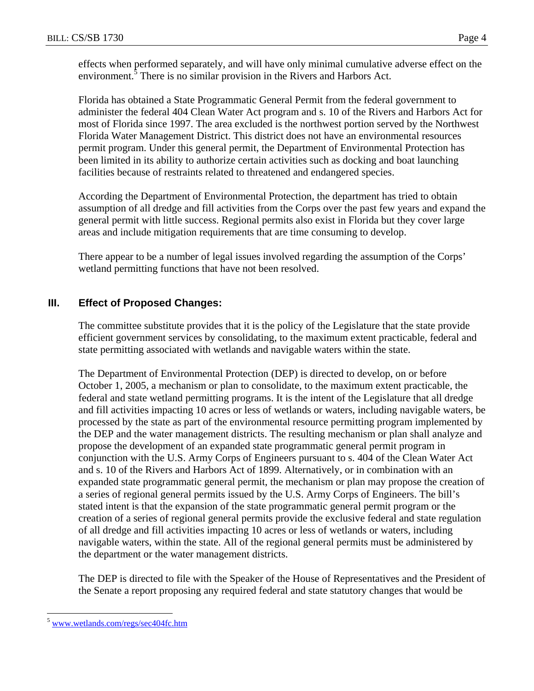effects when performed separately, and will have only minimal cumulative adverse effect on the environment. $\frac{3}{5}$  There is no similar provision in the Rivers and Harbors Act.

Florida has obtained a State Programmatic General Permit from the federal government to administer the federal 404 Clean Water Act program and s. 10 of the Rivers and Harbors Act for most of Florida since 1997. The area excluded is the northwest portion served by the Northwest Florida Water Management District. This district does not have an environmental resources permit program. Under this general permit, the Department of Environmental Protection has been limited in its ability to authorize certain activities such as docking and boat launching facilities because of restraints related to threatened and endangered species.

According the Department of Environmental Protection, the department has tried to obtain assumption of all dredge and fill activities from the Corps over the past few years and expand the general permit with little success. Regional permits also exist in Florida but they cover large areas and include mitigation requirements that are time consuming to develop.

There appear to be a number of legal issues involved regarding the assumption of the Corps' wetland permitting functions that have not been resolved.

### **III. Effect of Proposed Changes:**

The committee substitute provides that it is the policy of the Legislature that the state provide efficient government services by consolidating, to the maximum extent practicable, federal and state permitting associated with wetlands and navigable waters within the state.

The Department of Environmental Protection (DEP) is directed to develop, on or before October 1, 2005, a mechanism or plan to consolidate, to the maximum extent practicable, the federal and state wetland permitting programs. It is the intent of the Legislature that all dredge and fill activities impacting 10 acres or less of wetlands or waters, including navigable waters, be processed by the state as part of the environmental resource permitting program implemented by the DEP and the water management districts. The resulting mechanism or plan shall analyze and propose the development of an expanded state programmatic general permit program in conjunction with the U.S. Army Corps of Engineers pursuant to s. 404 of the Clean Water Act and s. 10 of the Rivers and Harbors Act of 1899. Alternatively, or in combination with an expanded state programmatic general permit, the mechanism or plan may propose the creation of a series of regional general permits issued by the U.S. Army Corps of Engineers. The bill's stated intent is that the expansion of the state programmatic general permit program or the creation of a series of regional general permits provide the exclusive federal and state regulation of all dredge and fill activities impacting 10 acres or less of wetlands or waters, including navigable waters, within the state. All of the regional general permits must be administered by the department or the water management districts.

The DEP is directed to file with the Speaker of the House of Representatives and the President of the Senate a report proposing any required federal and state statutory changes that would be

 $\overline{a}$ 

<sup>5</sup> www.wetlands.com/regs/sec404fc.htm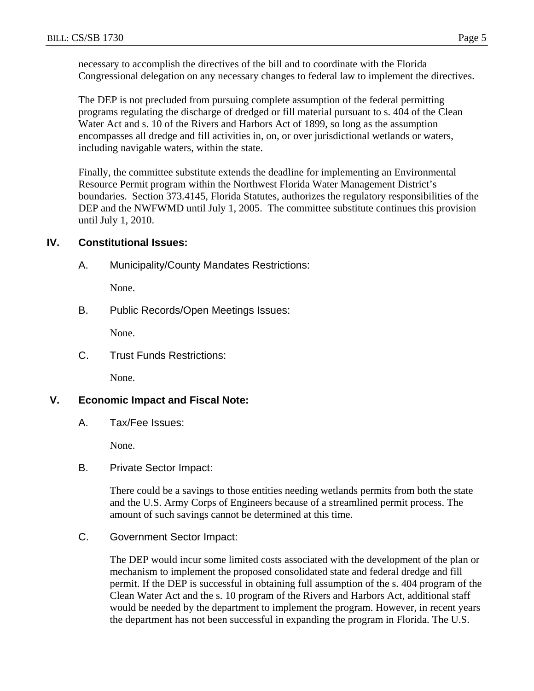necessary to accomplish the directives of the bill and to coordinate with the Florida Congressional delegation on any necessary changes to federal law to implement the directives.

The DEP is not precluded from pursuing complete assumption of the federal permitting programs regulating the discharge of dredged or fill material pursuant to s. 404 of the Clean Water Act and s. 10 of the Rivers and Harbors Act of 1899, so long as the assumption encompasses all dredge and fill activities in, on, or over jurisdictional wetlands or waters, including navigable waters, within the state.

Finally, the committee substitute extends the deadline for implementing an Environmental Resource Permit program within the Northwest Florida Water Management District's boundaries. Section 373.4145, Florida Statutes, authorizes the regulatory responsibilities of the DEP and the NWFWMD until July 1, 2005. The committee substitute continues this provision until July 1, 2010.

#### **IV. Constitutional Issues:**

A. Municipality/County Mandates Restrictions:

None.

B. Public Records/Open Meetings Issues:

None.

C. Trust Funds Restrictions:

None.

#### **V. Economic Impact and Fiscal Note:**

A. Tax/Fee Issues:

None.

B. Private Sector Impact:

There could be a savings to those entities needing wetlands permits from both the state and the U.S. Army Corps of Engineers because of a streamlined permit process. The amount of such savings cannot be determined at this time.

C. Government Sector Impact:

The DEP would incur some limited costs associated with the development of the plan or mechanism to implement the proposed consolidated state and federal dredge and fill permit. If the DEP is successful in obtaining full assumption of the s. 404 program of the Clean Water Act and the s. 10 program of the Rivers and Harbors Act, additional staff would be needed by the department to implement the program. However, in recent years the department has not been successful in expanding the program in Florida. The U.S.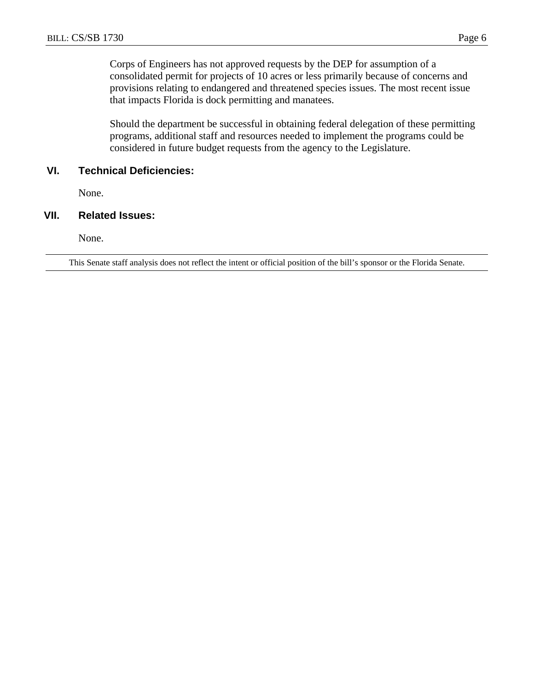Corps of Engineers has not approved requests by the DEP for assumption of a consolidated permit for projects of 10 acres or less primarily because of concerns and provisions relating to endangered and threatened species issues. The most recent issue that impacts Florida is dock permitting and manatees.

Should the department be successful in obtaining federal delegation of these permitting programs, additional staff and resources needed to implement the programs could be considered in future budget requests from the agency to the Legislature.

#### **VI. Technical Deficiencies:**

None.

#### **VII. Related Issues:**

None.

This Senate staff analysis does not reflect the intent or official position of the bill's sponsor or the Florida Senate.